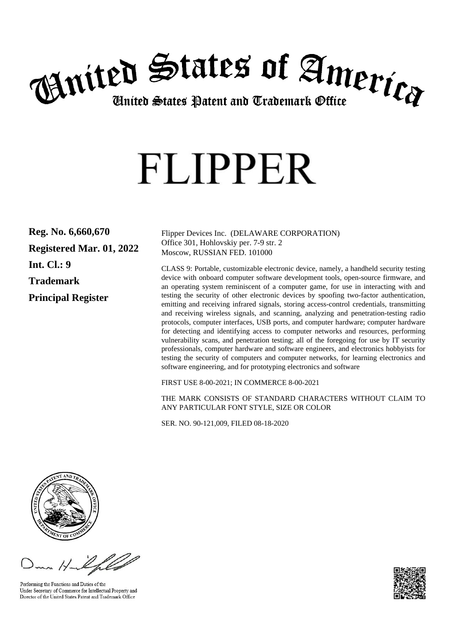

# **FLIPPER**

**Reg. No. 6,660,670 Registered Mar. 01, 2022 Int. Cl.: 9 Trademark Principal Register**

Flipper Devices Inc. (DELAWARE CORPORATION) Office 301, Hohlovskiy per. 7-9 str. 2 Moscow, RUSSIAN FED. 101000

CLASS 9: Portable, customizable electronic device, namely, a handheld security testing device with onboard computer software development tools, open-source firmware, and an operating system reminiscent of a computer game, for use in interacting with and testing the security of other electronic devices by spoofing two-factor authentication, emitting and receiving infrared signals, storing access-control credentials, transmitting and receiving wireless signals, and scanning, analyzing and penetration-testing radio protocols, computer interfaces, USB ports, and computer hardware; computer hardware for detecting and identifying access to computer networks and resources, performing vulnerability scans, and penetration testing; all of the foregoing for use by IT security professionals, computer hardware and software engineers, and electronics hobbyists for testing the security of computers and computer networks, for learning electronics and software engineering, and for prototyping electronics and software

FIRST USE 8-00-2021; IN COMMERCE 8-00-2021

THE MARK CONSISTS OF STANDARD CHARACTERS WITHOUT CLAIM TO ANY PARTICULAR FONT STYLE, SIZE OR COLOR

SER. NO. 90-121,009, FILED 08-18-2020



Performing the Functions and Duties of the Under Secretary of Commerce for Intellectual Property and Director of the United States Patent and Trademark Office